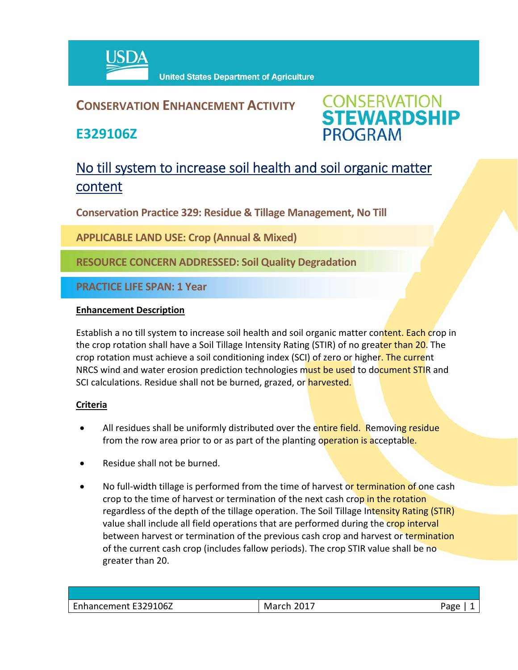

## **CONSERVATION ENHANCEMENT ACTIVITY**

**E329106Z**



# No till system to increase soil health and soil organic matter content

**Conservation Practice 329: Residue & Tillage Management, No Till**

**APPLICABLE LAND USE: Crop (Annual & Mixed)**

**RESOURCE CONCERN ADDRESSED: Soil Quality Degradation**

**PRACTICE LIFE SPAN: 1 Year**

#### **Enhancement Description**

Establish a no till system to increase soil health and soil organic matter content. Each crop in the crop rotation shall have a Soil Tillage Intensity Rating (STIR) of no greater than 20. The crop rotation must achieve a soil conditioning index (SCI) of zero or higher. The current NRCS wind and water erosion prediction technologies must be used to document STIR and SCI calculations. Residue shall not be burned, grazed, or harvested.

### **Criteria**

- All residues shall be uniformly distributed over the entire field. Removing residue from the row area prior to or as part of the planting operation is acceptable.
- Residue shall not be burned.
- No full-width tillage is performed from the time of harvest or termination of one cash crop to the time of harvest or termination of the next cash crop in the rotation regardless of the depth of the tillage operation. The Soil Tillage Intensity Rating (STIR) value shall include all field operations that are performed during the crop interval between harvest or termination of the previous cash crop and harvest or termination of the current cash crop (includes fallow periods). The crop STIR value shall be no greater than 20.

| Enhancement E329106Z | <b>March 2017</b> | Page |
|----------------------|-------------------|------|
|                      |                   |      |